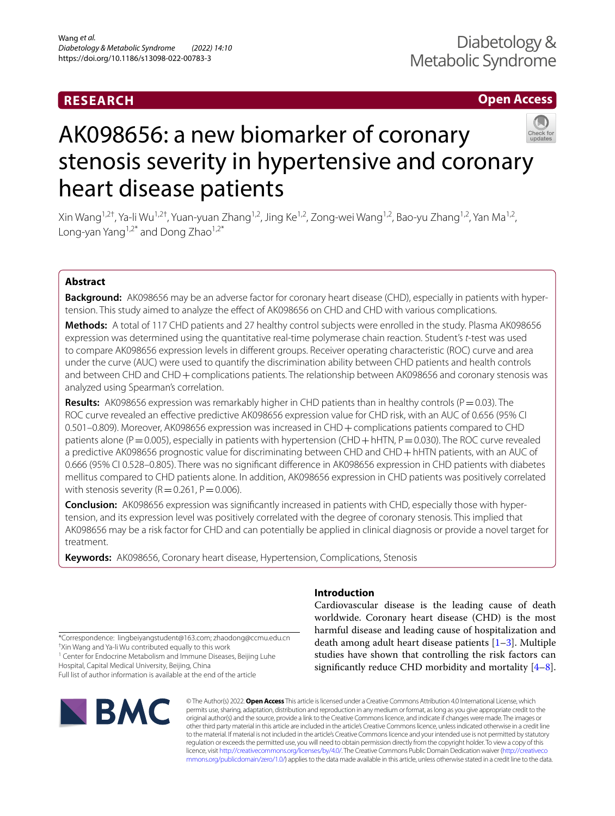# **RESEARCH**

## **Open Access**



# AK098656: a new biomarker of coronary stenosis severity in hypertensive and coronary heart disease patients

Xin Wang1,2†, Ya‑li Wu1,2†, Yuan‑yuan Zhang1,2, Jing Ke1,2, Zong‑wei Wang1,2, Bao‑yu Zhang1,2, Yan Ma1,2, Long-yan Yang $1,2^*$  and Dong Zhao $1,2^*$ 

## **Abstract**

**Background:** AK098656 may be an adverse factor for coronary heart disease (CHD), especially in patients with hyper‑ tension. This study aimed to analyze the efect of AK098656 on CHD and CHD with various complications.

**Methods:** A total of 117 CHD patients and 27 healthy control subjects were enrolled in the study. Plasma AK098656 expression was determined using the quantitative real-time polymerase chain reaction. Student's *t*-test was used to compare AK098656 expression levels in diferent groups. Receiver operating characteristic (ROC) curve and area under the curve (AUC) were used to quantify the discrimination ability between CHD patients and health controls and between CHD and CHD + complications patients. The relationship between AK098656 and coronary stenosis was analyzed using Spearman's correlation.

**Results:** AK098656 expression was remarkably higher in CHD patients than in healthy controls ( $P = 0.03$ ). The ROC curve revealed an efective predictive AK098656 expression value for CHD risk, with an AUC of 0.656 (95% CI 0.501–0.809). Moreover, AK098656 expression was increased in CHD+complications patients compared to CHD patients alone ( $P=0.005$ ), especially in patients with hypertension (CHD + hHTN,  $P=0.030$ ). The ROC curve revealed a predictive AK098656 prognostic value for discriminating between CHD and CHD + hHTN patients, with an AUC of 0.666 (95% CI 0.528–0.805). There was no signifcant diference in AK098656 expression in CHD patients with diabetes mellitus compared to CHD patients alone. In addition, AK098656 expression in CHD patients was positively correlated with stenosis severity ( $R=0.261$ ,  $P=0.006$ ).

**Conclusion:** AK098656 expression was significantly increased in patients with CHD, especially those with hypertension, and its expression level was positively correlated with the degree of coronary stenosis. This implied that AK098656 may be a risk factor for CHD and can potentially be applied in clinical diagnosis or provide a novel target for treatment.

**Keywords:** AK098656, Coronary heart disease, Hypertension, Complications, Stenosis

## **Introduction**

Cardiovascular disease is the leading cause of death worldwide. Coronary heart disease (CHD) is the most harmful disease and leading cause of hospitalization and death among adult heart disease patients  $[1-3]$  $[1-3]$  $[1-3]$ . Multiple studies have shown that controlling the risk factors can significantly reduce CHD morbidity and mortality  $[4-8]$  $[4-8]$ .

<sup>1</sup> Center for Endocrine Metabolism and Immune Diseases, Beijing Luhe Hospital, Capital Medical University, Beijing, China Full list of author information is available at the end of the article



© The Author(s) 2022. **Open Access** This article is licensed under a Creative Commons Attribution 4.0 International License, which permits use, sharing, adaptation, distribution and reproduction in any medium or format, as long as you give appropriate credit to the original author(s) and the source, provide a link to the Creative Commons licence, and indicate if changes were made. The images or other third party material in this article are included in the article's Creative Commons licence, unless indicated otherwise in a credit line to the material. If material is not included in the article's Creative Commons licence and your intended use is not permitted by statutory regulation or exceeds the permitted use, you will need to obtain permission directly from the copyright holder. To view a copy of this licence, visit [http://creativecommons.org/licenses/by/4.0/.](http://creativecommons.org/licenses/by/4.0/) The Creative Commons Public Domain Dedication waiver ([http://creativeco](http://creativecommons.org/publicdomain/zero/1.0/) [mmons.org/publicdomain/zero/1.0/](http://creativecommons.org/publicdomain/zero/1.0/)) applies to the data made available in this article, unless otherwise stated in a credit line to the data.

<sup>\*</sup>Correspondence: lingbeiyangstudent@163.com; zhaodong@ccmu.edu.cn † Xin Wang and Ya-li Wu contributed equally to this work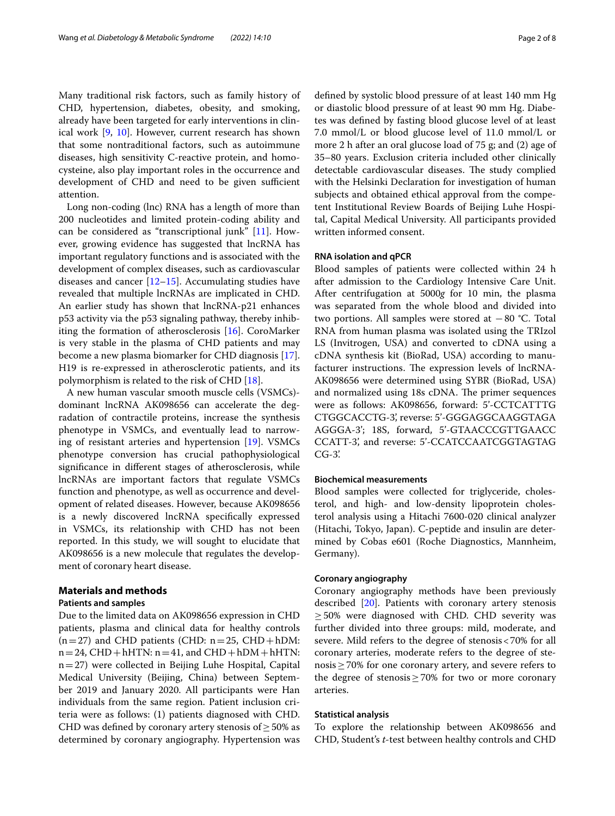Many traditional risk factors, such as family history of CHD, hypertension, diabetes, obesity, and smoking, already have been targeted for early interventions in clinical work [\[9,](#page-6-4) [10\]](#page-6-5). However, current research has shown that some nontraditional factors, such as autoimmune diseases, high sensitivity C-reactive protein, and homocysteine, also play important roles in the occurrence and development of CHD and need to be given sufficient attention.

Long non-coding (lnc) RNA has a length of more than 200 nucleotides and limited protein-coding ability and can be considered as "transcriptional junk" [[11\]](#page-6-6). However, growing evidence has suggested that lncRNA has important regulatory functions and is associated with the development of complex diseases, such as cardiovascular diseases and cancer  $[12-15]$  $[12-15]$ . Accumulating studies have revealed that multiple lncRNAs are implicated in CHD. An earlier study has shown that lncRNA-p21 enhances p53 activity via the p53 signaling pathway, thereby inhibiting the formation of atherosclerosis [\[16](#page-7-1)]. CoroMarker is very stable in the plasma of CHD patients and may become a new plasma biomarker for CHD diagnosis [\[17](#page-7-2)]. H19 is re-expressed in atherosclerotic patients, and its polymorphism is related to the risk of CHD [[18](#page-7-3)].

A new human vascular smooth muscle cells (VSMCs) dominant lncRNA AK098656 can accelerate the degradation of contractile proteins, increase the synthesis phenotype in VSMCs, and eventually lead to narrowing of resistant arteries and hypertension [[19\]](#page-7-4). VSMCs phenotype conversion has crucial pathophysiological signifcance in diferent stages of atherosclerosis, while lncRNAs are important factors that regulate VSMCs function and phenotype, as well as occurrence and development of related diseases. However, because AK098656 is a newly discovered lncRNA specifcally expressed in VSMCs, its relationship with CHD has not been reported. In this study, we will sought to elucidate that AK098656 is a new molecule that regulates the development of coronary heart disease.

## **Materials and methods**

## **Patients and samples**

Due to the limited data on AK098656 expression in CHD patients, plasma and clinical data for healthy controls  $(n=27)$  and CHD patients (CHD:  $n=25$ , CHD + hDM:  $n=24$ , CHD + hHTN:  $n=41$ , and CHD + hDM + hHTN:  $n=27$ ) were collected in Beijing Luhe Hospital, Capital Medical University (Beijing, China) between September 2019 and January 2020. All participants were Han individuals from the same region. Patient inclusion criteria were as follows: (1) patients diagnosed with CHD. CHD was defined by coronary artery stenosis of  $\geq$  50% as determined by coronary angiography. Hypertension was defned by systolic blood pressure of at least 140 mm Hg or diastolic blood pressure of at least 90 mm Hg. Diabetes was defned by fasting blood glucose level of at least 7.0 mmol/L or blood glucose level of 11.0 mmol/L or more 2 h after an oral glucose load of 75 g; and (2) age of 35–80 years. Exclusion criteria included other clinically detectable cardiovascular diseases. The study complied with the Helsinki Declaration for investigation of human subjects and obtained ethical approval from the competent Institutional Review Boards of Beijing Luhe Hospital, Capital Medical University. All participants provided written informed consent.

## **RNA isolation and qPCR**

Blood samples of patients were collected within 24 h after admission to the Cardiology Intensive Care Unit. After centrifugation at 5000*g* for 10 min, the plasma was separated from the whole blood and divided into two portions. All samples were stored at −80 °C. Total RNA from human plasma was isolated using the TRIzol LS (Invitrogen, USA) and converted to cDNA using a cDNA synthesis kit (BioRad, USA) according to manufacturer instructions. The expression levels of lncRNA-AK098656 were determined using SYBR (BioRad, USA) and normalized using 18s cDNA. The primer sequences were as follows: AK098656, forward: 5'-CCTCATTTG CTGGCACCTG-3', reverse: 5'-GGGAGGCAAGGTAGA AGGGA-3'; 18S, forward, 5'-GTAACCCGTTGAACC CCATT-3', and reverse: 5'-CCATCCAATCGGTAGTAG CG-3'.

## **Biochemical measurements**

Blood samples were collected for triglyceride, cholesterol, and high- and low-density lipoprotein cholesterol analysis using a Hitachi 7600-020 clinical analyzer (Hitachi, Tokyo, Japan). C-peptide and insulin are determined by Cobas e601 (Roche Diagnostics, Mannheim, Germany).

## **Coronary angiography**

Coronary angiography methods have been previously described [[20\]](#page-7-5). Patients with coronary artery stenosis  $\geq$  50% were diagnosed with CHD. CHD severity was further divided into three groups: mild, moderate, and severe. Mild refers to the degree of stenosis<70% for all coronary arteries, moderate refers to the degree of stenosis≥70% for one coronary artery, and severe refers to the degree of stenosis  $\geq$  70% for two or more coronary arteries.

## **Statistical analysis**

To explore the relationship between AK098656 and CHD, Student's *t*-test between healthy controls and CHD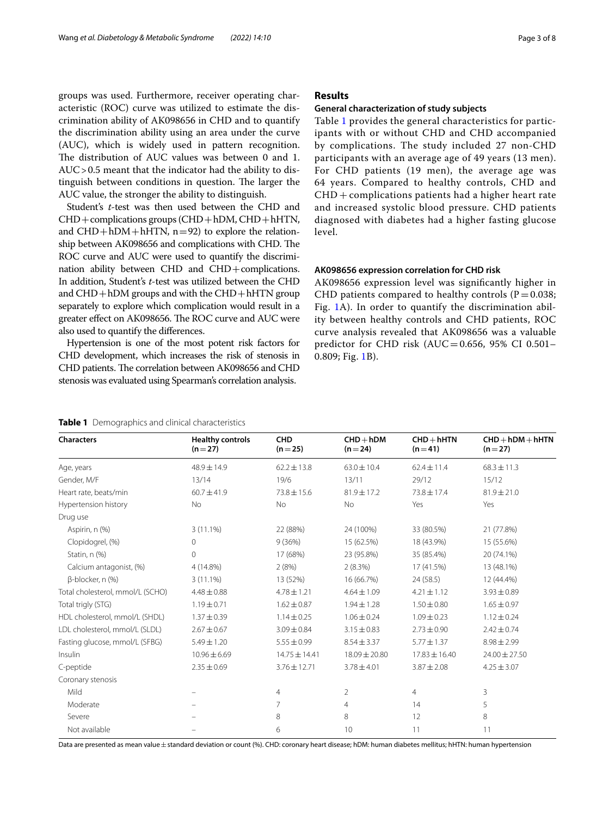groups was used. Furthermore, receiver operating characteristic (ROC) curve was utilized to estimate the discrimination ability of AK098656 in CHD and to quantify the discrimination ability using an area under the curve (AUC), which is widely used in pattern recognition. The distribution of AUC values was between 0 and 1. AUC>0.5 meant that the indicator had the ability to distinguish between conditions in question. The larger the AUC value, the stronger the ability to distinguish.

Student's *t*-test was then used between the CHD and CHD+complications groups (CHD+hDM, CHD+hHTN, and  $CHD + hDM + hHTN$ ,  $n=92$ ) to explore the relationship between AK098656 and complications with CHD. The ROC curve and AUC were used to quantify the discrimination ability between CHD and CHD+complications. In addition, Student's *t*-test was utilized between the CHD and  $CHD + hDM$  groups and with the  $CHD + hHTN$  group separately to explore which complication would result in a greater effect on AK098656. The ROC curve and AUC were also used to quantify the diferences.

Hypertension is one of the most potent risk factors for CHD development, which increases the risk of stenosis in CHD patients. The correlation between AK098656 and CHD stenosis was evaluated using Spearman's correlation analysis.

## **Results**

## **General characterization of study subjects**

Table [1](#page-2-0) provides the general characteristics for participants with or without CHD and CHD accompanied by complications. The study included 27 non-CHD participants with an average age of 49 years (13 men). For CHD patients (19 men), the average age was 64 years. Compared to healthy controls, CHD and CHD + complications patients had a higher heart rate and increased systolic blood pressure. CHD patients diagnosed with diabetes had a higher fasting glucose level.

## **AK098656 expression correlation for CHD risk**

AK098656 expression level was signifcantly higher in CHD patients compared to healthy controls ( $P=0.038$ ; Fig. [1A](#page-3-0)). In order to quantify the discrimination ability between healthy controls and CHD patients, ROC curve analysis revealed that AK098656 was a valuable predictor for CHD risk (AUC=0.656, 95% CI 0.501-0.809; Fig. [1B](#page-3-0)).

<span id="page-2-0"></span>

|  |  | Table 1 Demographics and clinical characteristics |
|--|--|---------------------------------------------------|
|--|--|---------------------------------------------------|

**Characters Healthy controls**  $(n=27)$ **CHD**  $(n=25)$ **CHD**+**hDM (n**=**24) CHD**+**hHTN**  $(n=41)$ **CHD**+**hDM**+**hHTN**  $(n=27)$ Age, years 68.3 ± 11.3 48.9 ± 14.9 62.2 ± 13.8 63.0 ± 10.4 62.4 ± 11.4 68.3 ± 11.3 Gender, M/F 13/12 13/14 19/6 13/11 29/12 15/12 Heart rate, beats/min 60.7 $\pm$ 41.9 73.8 $\pm$ 15.6 81.9 $\pm$ 17.2 73.8 $\pm$ 17.4 81.9 $\pm$ 21.0 Hypertension history **No** No No No No Yes Yes Yes Drug use Aspirin, n (%) 3 (11.1%) 22 (88%) 24 (100%) 33 (80.5%) 21 (77.8%) Clopidogrel, (%) 0 9 (36%) 15 (62.5%) 18 (43.9%) 15 (55.6%) Statin, n (%) 0 17 (68%) 23 (95.8%) 35 (85.4%) 20 (74.1%) Calcium antagonist, (%) 4 (14.8%) 2 (8%) 2 (8.3%) 17 (41.5%) 13 (48.1%) β-blocker, n (%) 3 (11.1%) 13 (52%) 16 (66.7%) 24 (58.5) 12 (44.4%) Total cholesterol, mmol/L (SCHO) 4.48±0.88 4.78±1.21 4.64±1.09 4.21±1.12 3.93±0.89 Total trigly (STG) 1.65  $\pm$  0.97 1.94 $\pm$ 0.71 1.94 $\pm$ 0.87 1.94 $\pm$ 1.28 1.50 $\pm$ 0.80 1.65 $\pm$ 0.97 HDL cholesterol, mmol/L (SHDL) 1.37±0.39 1.14±0.25 1.06±0.24 1.09±0.23 1.12±0.24 LDL cholesterol, mmol/L (SLDL) 2.67±0.67 3.09±0.84 3.15±0.83 2.73±0.90 2.42±0.74 Fasting glucose, mmol/L (SFBG) 5.49±1.20 5.55±0.99 8.54±3.37 5.77±1.37 8.98±2.99 Insulin 10.96±6.69 14.75±14.41 18.09±20.80 17.83±16.40 24.00±27.50  $C$ -peptide 2.35  $\pm$  0.69 3.76 $\pm$ 12.71 3.78 $\pm$ 4.01 3.87 $\pm$ 2.08 4.25 $\pm$ 3.07 Coronary stenosis Mild – 4 2 4 3 Moderate – – 7 14 14 15 Severe – – 8 8 8 12 8 Not available  $\sim$   $\sim$   $\sim$  10 11 11 11 11

Data are presented as mean value ±standard deviation or count (%). CHD: coronary heart disease; hDM: human diabetes mellitus; hHTN: human hypertension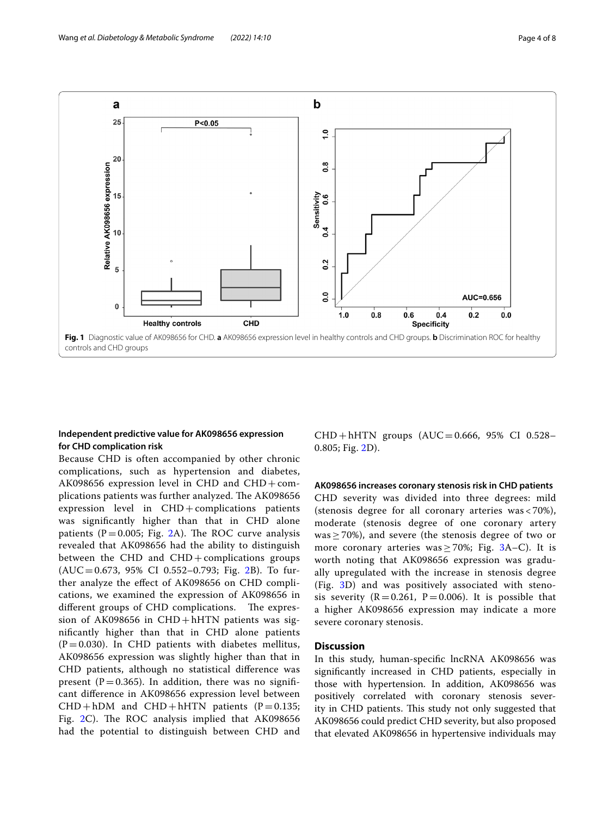

## <span id="page-3-0"></span>**Independent predictive value for AK098656 expression for CHD complication risk**

Because CHD is often accompanied by other chronic complications, such as hypertension and diabetes, AK098656 expression level in CHD and  $CHD + com$ plications patients was further analyzed. The AK098656 expression level in  $CHD+$ complications patients was signifcantly higher than that in CHD alone patients ( $P = 0.005$ ; Fig. [2A](#page-4-0)). The ROC curve analysis revealed that AK098656 had the ability to distinguish between the CHD and  $CHD +$ complications groups  $(AUC=0.673, 95\% \text{ CI } 0.552-0.793; \text{ Fig. 2B}).$  $(AUC=0.673, 95\% \text{ CI } 0.552-0.793; \text{ Fig. 2B}).$  $(AUC=0.673, 95\% \text{ CI } 0.552-0.793; \text{ Fig. 2B}).$  To further analyze the efect of AK098656 on CHD complications, we examined the expression of AK098656 in different groups of CHD complications. The expression of AK098656 in  $CHD+hHTN$  patients was signifcantly higher than that in CHD alone patients  $(P=0.030)$ . In CHD patients with diabetes mellitus, AK098656 expression was slightly higher than that in CHD patients, although no statistical diference was present ( $P=0.365$ ). In addition, there was no significant diference in AK098656 expression level between  $CHD + hDM$  and  $CHD + hHTN$  patients (P = 0.135; Fig.  $2C$ ). The ROC analysis implied that AK098656 had the potential to distinguish between CHD and

 $CHD + hHTN$  groups  $(AUC = 0.666, 95\% CI 0.528 -$ 0.805; Fig. [2D](#page-4-0)).

## **AK098656 increases coronary stenosis risk in CHD patients**

CHD severity was divided into three degrees: mild (stenosis degree for all coronary arteries was < 70%), moderate (stenosis degree of one coronary artery was  $\geq$  70%), and severe (the stenosis degree of two or more coronary arteries was  $\geq$  70%; Fig. [3A](#page-5-0)–C). It is worth noting that AK098656 expression was gradually upregulated with the increase in stenosis degree (Fig. [3](#page-5-0)D) and was positively associated with stenosis severity  $(R=0.261, P=0.006)$ . It is possible that a higher AK098656 expression may indicate a more severe coronary stenosis.

## **Discussion**

In this study, human-specifc lncRNA AK098656 was signifcantly increased in CHD patients, especially in those with hypertension. In addition, AK098656 was positively correlated with coronary stenosis severity in CHD patients. This study not only suggested that AK098656 could predict CHD severity, but also proposed that elevated AK098656 in hypertensive individuals may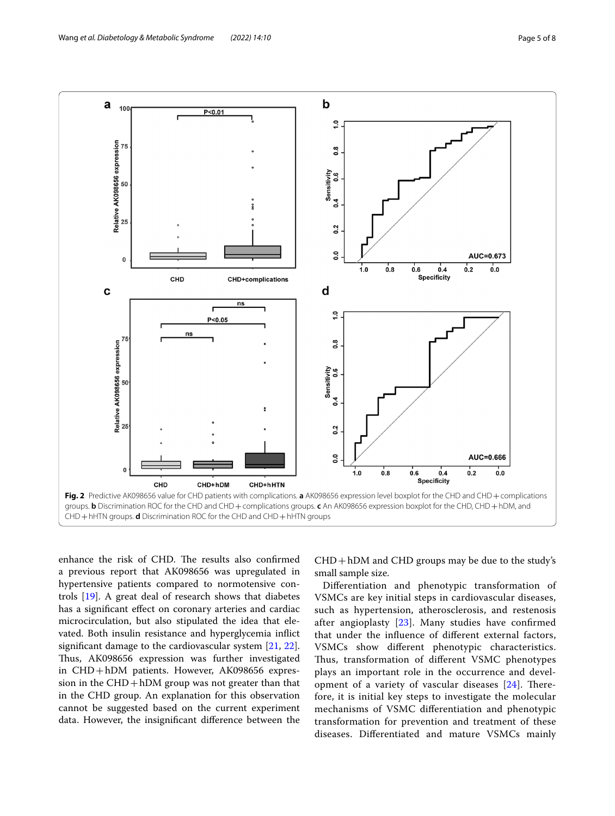

<span id="page-4-0"></span>enhance the risk of CHD. The results also confirmed a previous report that AK098656 was upregulated in hypertensive patients compared to normotensive controls [\[19](#page-7-4)]. A great deal of research shows that diabetes has a signifcant efect on coronary arteries and cardiac microcirculation, but also stipulated the idea that elevated. Both insulin resistance and hyperglycemia infict signifcant damage to the cardiovascular system [\[21](#page-7-6), [22](#page-7-7)]. Thus, AK098656 expression was further investigated in CHD+hDM patients. However, AK098656 expression in the  $CHD + hDM$  group was not greater than that in the CHD group. An explanation for this observation cannot be suggested based on the current experiment data. However, the insignifcant diference between the

 $CHD + hDM$  and  $CHD$  groups may be due to the study's small sample size.

Diferentiation and phenotypic transformation of VSMCs are key initial steps in cardiovascular diseases, such as hypertension, atherosclerosis, and restenosis after angioplasty  $[23]$  $[23]$  $[23]$ . Many studies have confirmed that under the infuence of diferent external factors, VSMCs show diferent phenotypic characteristics. Thus, transformation of different VSMC phenotypes plays an important role in the occurrence and development of a variety of vascular diseases  $[24]$  $[24]$ . Therefore, it is initial key steps to investigate the molecular mechanisms of VSMC diferentiation and phenotypic transformation for prevention and treatment of these diseases. Diferentiated and mature VSMCs mainly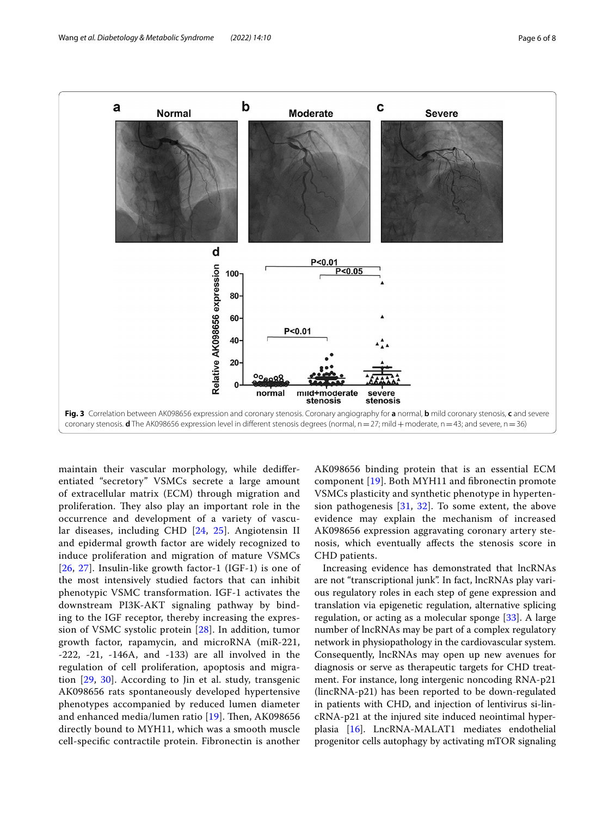

<span id="page-5-0"></span>maintain their vascular morphology, while dediferentiated "secretory" VSMCs secrete a large amount of extracellular matrix (ECM) through migration and proliferation. They also play an important role in the occurrence and development of a variety of vascular diseases, including CHD [\[24](#page-7-9), [25\]](#page-7-10). Angiotensin II and epidermal growth factor are widely recognized to induce proliferation and migration of mature VSMCs [[26](#page-7-11), [27](#page-7-12)]. Insulin-like growth factor-1 (IGF-1) is one of the most intensively studied factors that can inhibit phenotypic VSMC transformation. IGF-1 activates the downstream PI3K-AKT signaling pathway by binding to the IGF receptor, thereby increasing the expression of VSMC systolic protein [\[28](#page-7-13)]. In addition, tumor growth factor, rapamycin, and microRNA (miR-221, -222, -21, -146A, and -133) are all involved in the regulation of cell proliferation, apoptosis and migration [[29](#page-7-14), [30\]](#page-7-15). According to Jin et al. study, transgenic AK098656 rats spontaneously developed hypertensive phenotypes accompanied by reduced lumen diameter and enhanced media/lumen ratio  $[19]$  $[19]$  $[19]$ . Then, AK098656 directly bound to MYH11, which was a smooth muscle cell-specifc contractile protein. Fibronectin is another

AK098656 binding protein that is an essential ECM component [\[19\]](#page-7-4). Both MYH11 and fbronectin promote VSMCs plasticity and synthetic phenotype in hypertension pathogenesis  $[31, 32]$  $[31, 32]$  $[31, 32]$  $[31, 32]$  $[31, 32]$ . To some extent, the above evidence may explain the mechanism of increased AK098656 expression aggravating coronary artery stenosis, which eventually afects the stenosis score in CHD patients.

Increasing evidence has demonstrated that lncRNAs are not "transcriptional junk". In fact, lncRNAs play various regulatory roles in each step of gene expression and translation via epigenetic regulation, alternative splicing regulation, or acting as a molecular sponge [\[33](#page-7-18)]. A large number of lncRNAs may be part of a complex regulatory network in physiopathology in the cardiovascular system. Consequently, lncRNAs may open up new avenues for diagnosis or serve as therapeutic targets for CHD treatment. For instance, long intergenic noncoding RNA-p21 (lincRNA-p21) has been reported to be down-regulated in patients with CHD, and injection of lentivirus si-lincRNA-p21 at the injured site induced neointimal hyperplasia [[16\]](#page-7-1). LncRNA-MALAT1 mediates endothelial progenitor cells autophagy by activating mTOR signaling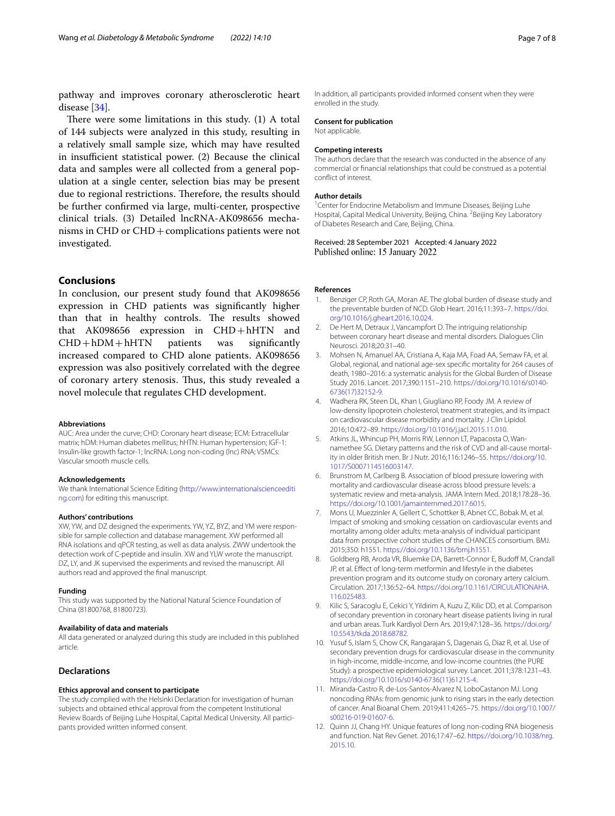pathway and improves coronary atherosclerotic heart disease [\[34](#page-7-19)].

There were some limitations in this study.  $(1)$  A total of 144 subjects were analyzed in this study, resulting in a relatively small sample size, which may have resulted in insufficient statistical power. (2) Because the clinical data and samples were all collected from a general population at a single center, selection bias may be present due to regional restrictions. Therefore, the results should be further confrmed via large, multi-center, prospective clinical trials. (3) Detailed lncRNA-AK098656 mechanisms in CHD or CHD+complications patients were not investigated.

## **Conclusions**

In conclusion, our present study found that AK098656 expression in CHD patients was signifcantly higher than that in healthy controls. The results showed that AK098656 expression in  $CHD + hHTN$  and  $CHD + hDM + hHTN$  patients was significantly  $CHD + hDM + hHTN$ increased compared to CHD alone patients. AK098656 expression was also positively correlated with the degree of coronary artery stenosis. Thus, this study revealed a novel molecule that regulates CHD development.

#### **Abbreviations**

AUC: Area under the curve; CHD: Coronary heart disease; ECM: Extracellular matrix; hDM: Human diabetes mellitus; hHTN: Human hypertension; IGF-1: Insulin-like growth factor-1; lncRNA: Long non-coding (lnc) RNA; VSMCs: Vascular smooth muscle cells.

#### **Acknowledgements**

We thank International Science Editing ([http://www.internationalscienceediti](http://www.internationalscienceediting.com) [ng.com](http://www.internationalscienceediting.com)) for editing this manuscript.

#### **Authors' contributions**

XW, YW, and DZ designed the experiments. YW, YZ, BYZ, and YM were responsible for sample collection and database management. XW performed all RNA isolations and qPCR testing, as well as data analysis. ZWW undertook the detection work of C-peptide and insulin. XW and YLW wrote the manuscript. DZ, LY, and JK supervised the experiments and revised the manuscript. All authors read and approved the fnal manuscript.

#### **Funding**

This study was supported by the National Natural Science Foundation of China (81800768, 81800723).

#### **Availability of data and materials**

All data generated or analyzed during this study are included in this published article.

## **Declarations**

#### **Ethics approval and consent to participate**

The study complied with the Helsinki Declaration for investigation of human subjects and obtained ethical approval from the competent Institutional Review Boards of Beijing Luhe Hospital, Capital Medical University. All participants provided written informed consent.

## **Consent for publication**

Not applicable.

#### **Competing interests**

The authors declare that the research was conducted in the absence of any commercial or fnancial relationships that could be construed as a potential confict of interest.

## **Author details**

<sup>1</sup> Center for Endocrine Metabolism and Immune Diseases, Beijing Luhe Hospital, Capital Medical University, Beijing, China. <sup>2</sup> Beijing Key Laboratory of Diabetes Research and Care, Beijing, China.

Received: 28 September 2021 Accepted: 4 January 2022 Published online: 15 January 2022

#### **References**

- <span id="page-6-0"></span>1. Benziger CP, Roth GA, Moran AE. The global burden of disease study and the preventable burden of NCD. Glob Heart. 2016;11:393–7. [https://doi.](https://doi.org/10.1016/j.gheart.2016.10.024) [org/10.1016/j.gheart.2016.10.024](https://doi.org/10.1016/j.gheart.2016.10.024).
- 2. De Hert M, Detraux J, Vancampfort D. The intriguing relationship between coronary heart disease and mental disorders. Dialogues Clin Neurosci. 2018;20:31–40.
- <span id="page-6-1"></span>3. Mohsen N, Amanuel AA, Cristiana A, Kaja MA, Foad AA, Semaw FA, et al. Global, regional, and national age-sex specifc mortality for 264 causes of death, 1980–2016: a systematic analysis for the Global Burden of Disease Study 2016. Lancet. 2017;390:1151–210. [https://doi.org/10.1016/s0140-](https://doi.org/10.1016/s0140-6736(17)32152-9) [6736\(17\)32152-9.](https://doi.org/10.1016/s0140-6736(17)32152-9)
- <span id="page-6-2"></span>4. Wadhera RK, Steen DL, Khan I, Giugliano RP, Foody JM. A review of low-density lipoprotein cholesterol, treatment strategies, and its impact on cardiovascular disease morbidity and mortality. J Clin Lipidol. 2016;10:472–89. [https://doi.org/10.1016/j.jacl.2015.11.010.](https://doi.org/10.1016/j.jacl.2015.11.010)
- 5. Atkins JL, Whincup PH, Morris RW, Lennon LT, Papacosta O, Wannamethee SG. Dietary patterns and the risk of CVD and all-cause mortality in older British men. Br J Nutr. 2016;116:1246–55. [https://doi.org/10.](https://doi.org/10.1017/S0007114516003147) [1017/S0007114516003147](https://doi.org/10.1017/S0007114516003147).
- 6. Brunstrom M, Carlberg B. Association of blood pressure lowering with mortality and cardiovascular disease across blood pressure levels: a systematic review and meta-analysis. JAMA Intern Med. 2018;178:28–36. [https://doi.org/10.1001/jamainternmed.2017.6015.](https://doi.org/10.1001/jamainternmed.2017.6015)
- 7. Mons U, Muezzinler A, Gellert C, Schottker B, Abnet CC, Bobak M, et al. Impact of smoking and smoking cessation on cardiovascular events and mortality among older adults: meta-analysis of individual participant data from prospective cohort studies of the CHANCES consortium. BMJ. 2015;350: h1551. [https://doi.org/10.1136/bmj.h1551.](https://doi.org/10.1136/bmj.h1551)
- <span id="page-6-3"></span>Goldberg RB, Aroda VR, Bluemke DA, Barrett-Connor E, Budoff M, Crandall JP, et al. Efect of long-term metformin and lifestyle in the diabetes prevention program and its outcome study on coronary artery calcium. Circulation. 2017;136:52–64. [https://doi.org/10.1161/CIRCULATIONAHA.](https://doi.org/10.1161/CIRCULATIONAHA.116.025483) [116.025483.](https://doi.org/10.1161/CIRCULATIONAHA.116.025483)
- <span id="page-6-4"></span>9. Kilic S, Saracoglu E, Cekici Y, Yildirim A, Kuzu Z, Kilic DD, et al. Comparison of secondary prevention in coronary heart disease patients living in rural and urban areas. Turk Kardiyol Dern Ars. 2019;47:128–36. [https://doi.org/](https://doi.org/10.5543/tkda.2018.68782) [10.5543/tkda.2018.68782](https://doi.org/10.5543/tkda.2018.68782).
- <span id="page-6-5"></span>10. Yusuf S, Islam S, Chow CK, Rangarajan S, Dagenais G, Diaz R, et al. Use of secondary prevention drugs for cardiovascular disease in the community in high-income, middle-income, and low-income countries (the PURE Study): a prospective epidemiological survey. Lancet. 2011;378:1231–43. [https://doi.org/10.1016/s0140-6736\(11\)61215-4](https://doi.org/10.1016/s0140-6736(11)61215-4).
- <span id="page-6-6"></span>11. Miranda-Castro R, de-Los-Santos-Alvarez N, LoboCastanon MJ. Long noncoding RNAs: from genomic junk to rising stars in the early detection of cancer. Anal Bioanal Chem. 2019;411:4265–75. [https://doi.org/10.1007/](https://doi.org/10.1007/s00216-019-01607-6) [s00216-019-01607-6](https://doi.org/10.1007/s00216-019-01607-6).
- <span id="page-6-7"></span>12. Quinn JJ, Chang HY. Unique features of long non-coding RNA biogenesis and function. Nat Rev Genet. 2016;17:47–62. [https://doi.org/10.1038/nrg.](https://doi.org/10.1038/nrg.2015.10) [2015.10.](https://doi.org/10.1038/nrg.2015.10)